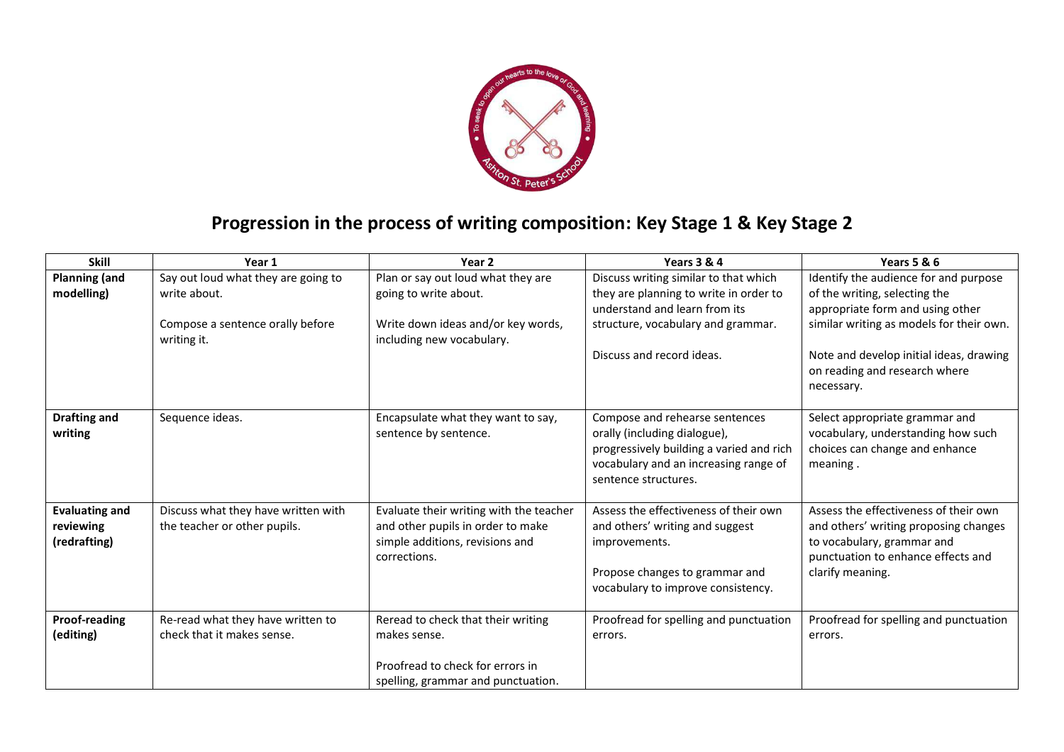

## **Progression in the process of writing composition: Key Stage 1 & Key Stage 2**

| <b>Skill</b>                                       | Year 1                                                                                                 | Year 2                                                                                                                          | Years 3 & 4                                                                                                                                                                         | <b>Years 5 &amp; 6</b>                                                                                                                                                                                                             |
|----------------------------------------------------|--------------------------------------------------------------------------------------------------------|---------------------------------------------------------------------------------------------------------------------------------|-------------------------------------------------------------------------------------------------------------------------------------------------------------------------------------|------------------------------------------------------------------------------------------------------------------------------------------------------------------------------------------------------------------------------------|
| <b>Planning (and</b><br>modelling)                 | Say out loud what they are going to<br>write about.<br>Compose a sentence orally before<br>writing it. | Plan or say out loud what they are<br>going to write about.<br>Write down ideas and/or key words,<br>including new vocabulary.  | Discuss writing similar to that which<br>they are planning to write in order to<br>understand and learn from its<br>structure, vocabulary and grammar.<br>Discuss and record ideas. | Identify the audience for and purpose<br>of the writing, selecting the<br>appropriate form and using other<br>similar writing as models for their own.<br>Note and develop initial ideas, drawing<br>on reading and research where |
|                                                    |                                                                                                        |                                                                                                                                 |                                                                                                                                                                                     | necessary.                                                                                                                                                                                                                         |
| Drafting and<br>writing                            | Sequence ideas.                                                                                        | Encapsulate what they want to say,<br>sentence by sentence.                                                                     | Compose and rehearse sentences<br>orally (including dialogue),<br>progressively building a varied and rich<br>vocabulary and an increasing range of<br>sentence structures.         | Select appropriate grammar and<br>vocabulary, understanding how such<br>choices can change and enhance<br>meaning.                                                                                                                 |
| <b>Evaluating and</b><br>reviewing<br>(redrafting) | Discuss what they have written with<br>the teacher or other pupils.                                    | Evaluate their writing with the teacher<br>and other pupils in order to make<br>simple additions, revisions and<br>corrections. | Assess the effectiveness of their own<br>and others' writing and suggest<br>improvements.<br>Propose changes to grammar and<br>vocabulary to improve consistency.                   | Assess the effectiveness of their own<br>and others' writing proposing changes<br>to vocabulary, grammar and<br>punctuation to enhance effects and<br>clarify meaning.                                                             |
| <b>Proof-reading</b><br>(editing)                  | Re-read what they have written to<br>check that it makes sense.                                        | Reread to check that their writing<br>makes sense.<br>Proofread to check for errors in<br>spelling, grammar and punctuation.    | Proofread for spelling and punctuation<br>errors.                                                                                                                                   | Proofread for spelling and punctuation<br>errors.                                                                                                                                                                                  |